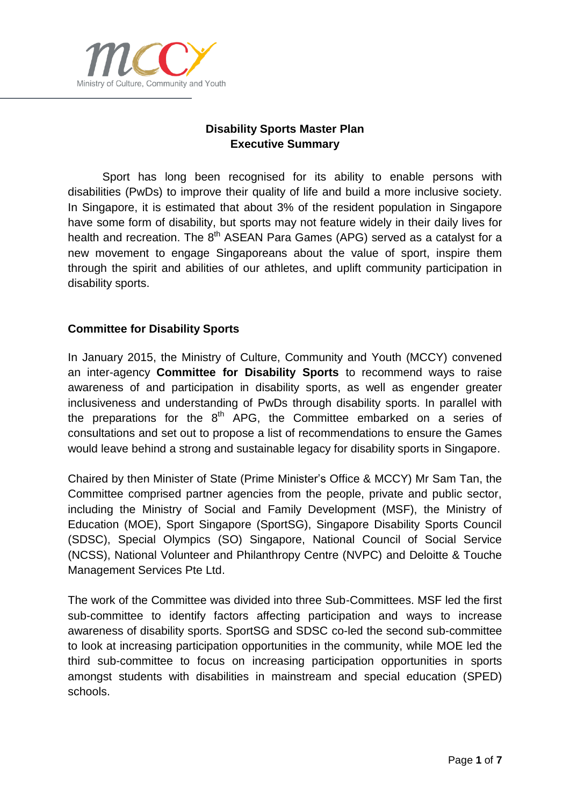

# **Disability Sports Master Plan Executive Summary**

Sport has long been recognised for its ability to enable persons with disabilities (PwDs) to improve their quality of life and build a more inclusive society. In Singapore, it is estimated that about 3% of the resident population in Singapore have some form of disability, but sports may not feature widely in their daily lives for health and recreation. The 8<sup>th</sup> ASEAN Para Games (APG) served as a catalyst for a new movement to engage Singaporeans about the value of sport, inspire them through the spirit and abilities of our athletes, and uplift community participation in disability sports.

### **Committee for Disability Sports**

In January 2015, the Ministry of Culture, Community and Youth (MCCY) convened an inter-agency **Committee for Disability Sports** to recommend ways to raise awareness of and participation in disability sports, as well as engender greater inclusiveness and understanding of PwDs through disability sports. In parallel with the preparations for the  $8<sup>th</sup>$  APG, the Committee embarked on a series of consultations and set out to propose a list of recommendations to ensure the Games would leave behind a strong and sustainable legacy for disability sports in Singapore.

Chaired by then Minister of State (Prime Minister's Office & MCCY) Mr Sam Tan, the Committee comprised partner agencies from the people, private and public sector, including the Ministry of Social and Family Development (MSF), the Ministry of Education (MOE), Sport Singapore (SportSG), Singapore Disability Sports Council (SDSC), Special Olympics (SO) Singapore, National Council of Social Service (NCSS), National Volunteer and Philanthropy Centre (NVPC) and Deloitte & Touche Management Services Pte Ltd.

The work of the Committee was divided into three Sub-Committees. MSF led the first sub-committee to identify factors affecting participation and ways to increase awareness of disability sports. SportSG and SDSC co-led the second sub-committee to look at increasing participation opportunities in the community, while MOE led the third sub-committee to focus on increasing participation opportunities in sports amongst students with disabilities in mainstream and special education (SPED) schools.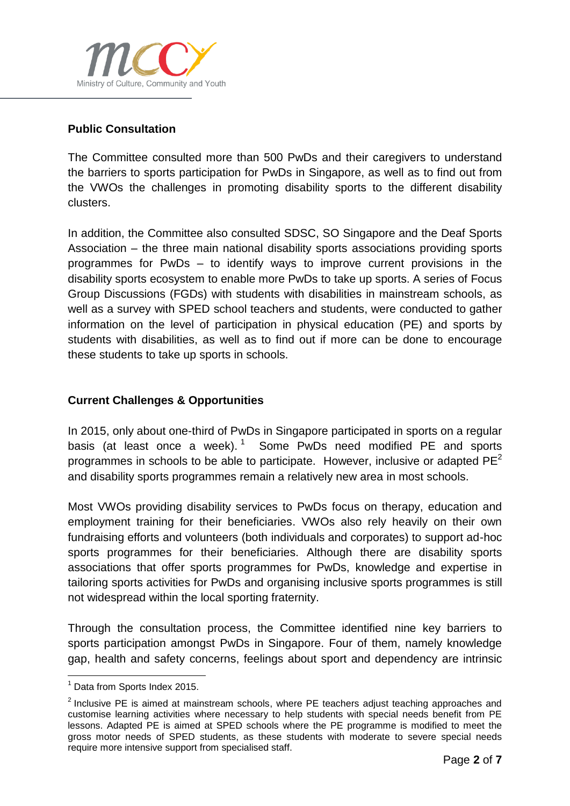

## **Public Consultation**

The Committee consulted more than 500 PwDs and their caregivers to understand the barriers to sports participation for PwDs in Singapore, as well as to find out from the VWOs the challenges in promoting disability sports to the different disability clusters.

In addition, the Committee also consulted SDSC, SO Singapore and the Deaf Sports Association – the three main national disability sports associations providing sports programmes for PwDs – to identify ways to improve current provisions in the disability sports ecosystem to enable more PwDs to take up sports. A series of Focus Group Discussions (FGDs) with students with disabilities in mainstream schools, as well as a survey with SPED school teachers and students, were conducted to gather information on the level of participation in physical education (PE) and sports by students with disabilities, as well as to find out if more can be done to encourage these students to take up sports in schools.

### **Current Challenges & Opportunities**

In 2015, only about one-third of PwDs in Singapore participated in sports on a regular basis (at least once a week).<sup>1</sup> Some PwDs need modified PE and sports programmes in schools to be able to participate. However, inclusive or adapted  $PE<sup>2</sup>$ and disability sports programmes remain a relatively new area in most schools.

Most VWOs providing disability services to PwDs focus on therapy, education and employment training for their beneficiaries. VWOs also rely heavily on their own fundraising efforts and volunteers (both individuals and corporates) to support ad-hoc sports programmes for their beneficiaries. Although there are disability sports associations that offer sports programmes for PwDs, knowledge and expertise in tailoring sports activities for PwDs and organising inclusive sports programmes is still not widespread within the local sporting fraternity.

Through the consultation process, the Committee identified nine key barriers to sports participation amongst PwDs in Singapore. Four of them, namely knowledge gap, health and safety concerns, feelings about sport and dependency are intrinsic

 $\overline{a}$ 

 $<sup>1</sup>$  Data from Sports Index 2015.</sup>

 $2$  Inclusive PE is aimed at mainstream schools, where PE teachers adjust teaching approaches and customise learning activities where necessary to help students with special needs benefit from PE lessons. Adapted PE is aimed at SPED schools where the PE programme is modified to meet the gross motor needs of SPED students, as these students with moderate to severe special needs require more intensive support from specialised staff.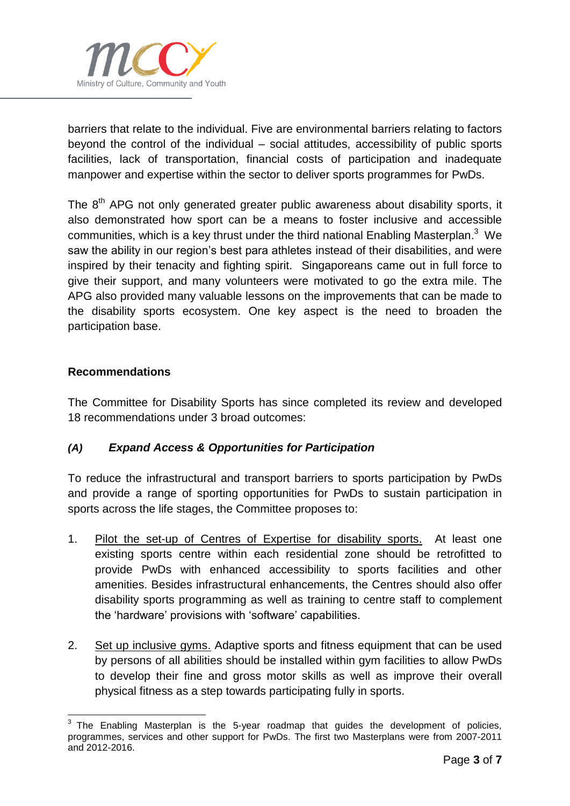

barriers that relate to the individual. Five are environmental barriers relating to factors beyond the control of the individual – social attitudes, accessibility of public sports facilities, lack of transportation, financial costs of participation and inadequate manpower and expertise within the sector to deliver sports programmes for PwDs.

The 8<sup>th</sup> APG not only generated greater public awareness about disability sports, it also demonstrated how sport can be a means to foster inclusive and accessible communities, which is a key thrust under the third national Enabling Masterplan.<sup>3</sup> We saw the ability in our region's best para athletes instead of their disabilities, and were inspired by their tenacity and fighting spirit. Singaporeans came out in full force to give their support, and many volunteers were motivated to go the extra mile. The APG also provided many valuable lessons on the improvements that can be made to the disability sports ecosystem. One key aspect is the need to broaden the participation base.

#### **Recommendations**

The Committee for Disability Sports has since completed its review and developed 18 recommendations under 3 broad outcomes:

### *(A) Expand Access & Opportunities for Participation*

To reduce the infrastructural and transport barriers to sports participation by PwDs and provide a range of sporting opportunities for PwDs to sustain participation in sports across the life stages, the Committee proposes to:

- 1. Pilot the set-up of Centres of Expertise for disability sports. At least one existing sports centre within each residential zone should be retrofitted to provide PwDs with enhanced accessibility to sports facilities and other amenities. Besides infrastructural enhancements, the Centres should also offer disability sports programming as well as training to centre staff to complement the 'hardware' provisions with 'software' capabilities.
- 2. Set up inclusive gyms. Adaptive sports and fitness equipment that can be used by persons of all abilities should be installed within gym facilities to allow PwDs to develop their fine and gross motor skills as well as improve their overall physical fitness as a step towards participating fully in sports.

 $\overline{a}$  $3$  The Enabling Masterplan is the 5-year roadmap that guides the development of policies, programmes, services and other support for PwDs. The first two Masterplans were from 2007-2011 and 2012-2016.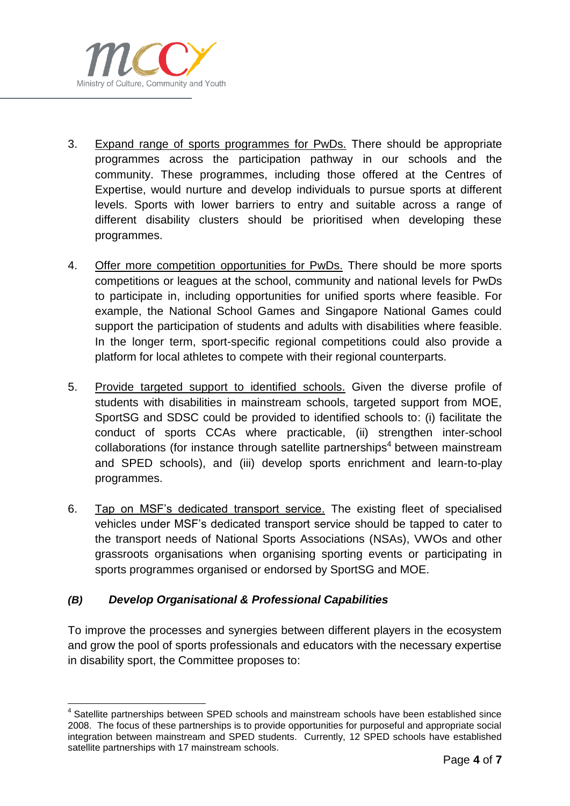

- 3. Expand range of sports programmes for PwDs. There should be appropriate programmes across the participation pathway in our schools and the community. These programmes, including those offered at the Centres of Expertise, would nurture and develop individuals to pursue sports at different levels. Sports with lower barriers to entry and suitable across a range of different disability clusters should be prioritised when developing these programmes.
- 4. Offer more competition opportunities for PwDs. There should be more sports competitions or leagues at the school, community and national levels for PwDs to participate in, including opportunities for unified sports where feasible. For example, the National School Games and Singapore National Games could support the participation of students and adults with disabilities where feasible. In the longer term, sport-specific regional competitions could also provide a platform for local athletes to compete with their regional counterparts.
- 5. Provide targeted support to identified schools. Given the diverse profile of students with disabilities in mainstream schools, targeted support from MOE, SportSG and SDSC could be provided to identified schools to: (i) facilitate the conduct of sports CCAs where practicable, (ii) strengthen inter-school collaborations (for instance through satellite partnerships<sup>4</sup> between mainstream and SPED schools), and (iii) develop sports enrichment and learn-to-play programmes.
- 6. Tap on MSF's dedicated transport service. The existing fleet of specialised vehicles under MSF's dedicated transport service should be tapped to cater to the transport needs of National Sports Associations (NSAs), VWOs and other grassroots organisations when organising sporting events or participating in sports programmes organised or endorsed by SportSG and MOE.

### *(B) Develop Organisational & Professional Capabilities*

To improve the processes and synergies between different players in the ecosystem and grow the pool of sports professionals and educators with the necessary expertise in disability sport, the Committee proposes to:

 $\overline{a}$ <sup>4</sup> Satellite partnerships between SPED schools and mainstream schools have been established since 2008. The focus of these partnerships is to provide opportunities for purposeful and appropriate social integration between mainstream and SPED students. Currently, 12 SPED schools have established satellite partnerships with 17 mainstream schools.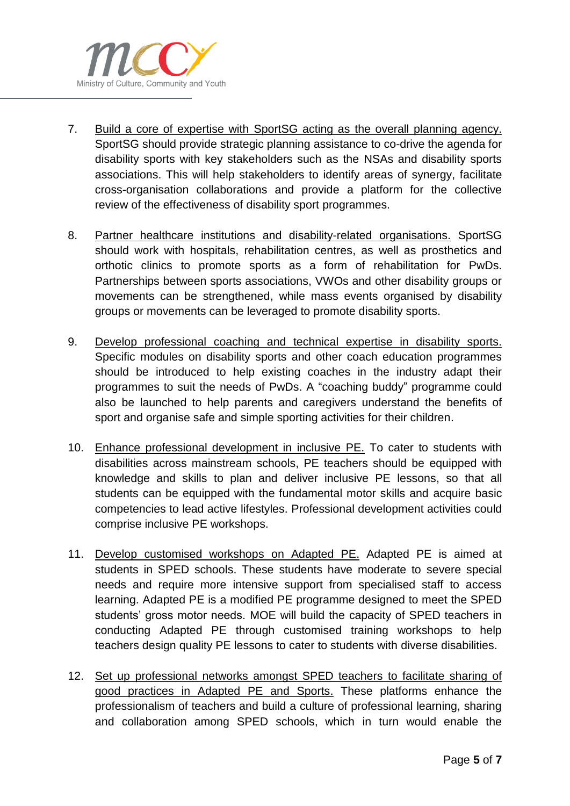

- 7. Build a core of expertise with SportSG acting as the overall planning agency. SportSG should provide strategic planning assistance to co-drive the agenda for disability sports with key stakeholders such as the NSAs and disability sports associations. This will help stakeholders to identify areas of synergy, facilitate cross-organisation collaborations and provide a platform for the collective review of the effectiveness of disability sport programmes.
- 8. Partner healthcare institutions and disability-related organisations. SportSG should work with hospitals, rehabilitation centres, as well as prosthetics and orthotic clinics to promote sports as a form of rehabilitation for PwDs. Partnerships between sports associations, VWOs and other disability groups or movements can be strengthened, while mass events organised by disability groups or movements can be leveraged to promote disability sports.
- 9. Develop professional coaching and technical expertise in disability sports. Specific modules on disability sports and other coach education programmes should be introduced to help existing coaches in the industry adapt their programmes to suit the needs of PwDs. A "coaching buddy" programme could also be launched to help parents and caregivers understand the benefits of sport and organise safe and simple sporting activities for their children.
- 10. Enhance professional development in inclusive PE. To cater to students with disabilities across mainstream schools, PE teachers should be equipped with knowledge and skills to plan and deliver inclusive PE lessons, so that all students can be equipped with the fundamental motor skills and acquire basic competencies to lead active lifestyles. Professional development activities could comprise inclusive PE workshops.
- 11. Develop customised workshops on Adapted PE. Adapted PE is aimed at students in SPED schools. These students have moderate to severe special needs and require more intensive support from specialised staff to access learning. Adapted PE is a modified PE programme designed to meet the SPED students' gross motor needs. MOE will build the capacity of SPED teachers in conducting Adapted PE through customised training workshops to help teachers design quality PE lessons to cater to students with diverse disabilities.
- 12. Set up professional networks amongst SPED teachers to facilitate sharing of good practices in Adapted PE and Sports. These platforms enhance the professionalism of teachers and build a culture of professional learning, sharing and collaboration among SPED schools, which in turn would enable the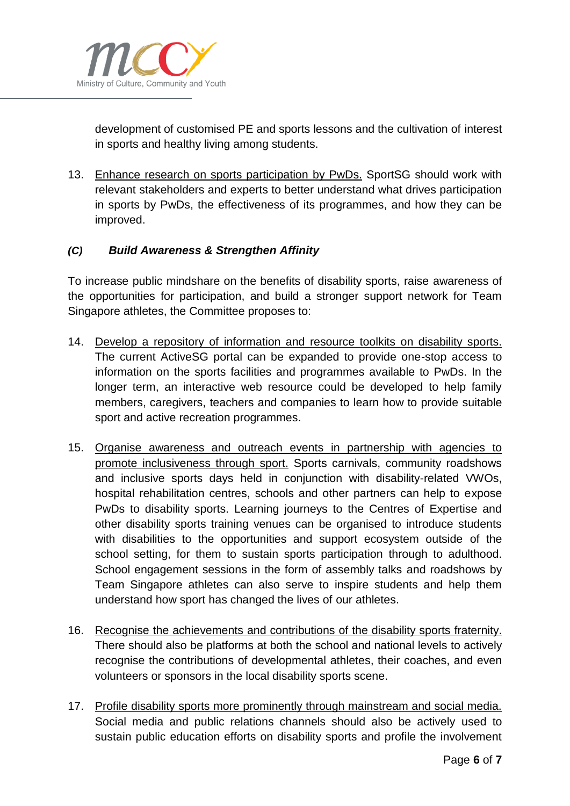

development of customised PE and sports lessons and the cultivation of interest in sports and healthy living among students.

13. Enhance research on sports participation by PwDs. SportSG should work with relevant stakeholders and experts to better understand what drives participation in sports by PwDs, the effectiveness of its programmes, and how they can be improved.

### *(C) Build Awareness & Strengthen Affinity*

To increase public mindshare on the benefits of disability sports, raise awareness of the opportunities for participation, and build a stronger support network for Team Singapore athletes, the Committee proposes to:

- 14. Develop a repository of information and resource toolkits on disability sports. The current ActiveSG portal can be expanded to provide one-stop access to information on the sports facilities and programmes available to PwDs. In the longer term, an interactive web resource could be developed to help family members, caregivers, teachers and companies to learn how to provide suitable sport and active recreation programmes.
- 15. Organise awareness and outreach events in partnership with agencies to promote inclusiveness through sport. Sports carnivals, community roadshows and inclusive sports days held in conjunction with disability-related VWOs, hospital rehabilitation centres, schools and other partners can help to expose PwDs to disability sports. Learning journeys to the Centres of Expertise and other disability sports training venues can be organised to introduce students with disabilities to the opportunities and support ecosystem outside of the school setting, for them to sustain sports participation through to adulthood. School engagement sessions in the form of assembly talks and roadshows by Team Singapore athletes can also serve to inspire students and help them understand how sport has changed the lives of our athletes.
- 16. Recognise the achievements and contributions of the disability sports fraternity. There should also be platforms at both the school and national levels to actively recognise the contributions of developmental athletes, their coaches, and even volunteers or sponsors in the local disability sports scene.
- 17. Profile disability sports more prominently through mainstream and social media. Social media and public relations channels should also be actively used to sustain public education efforts on disability sports and profile the involvement